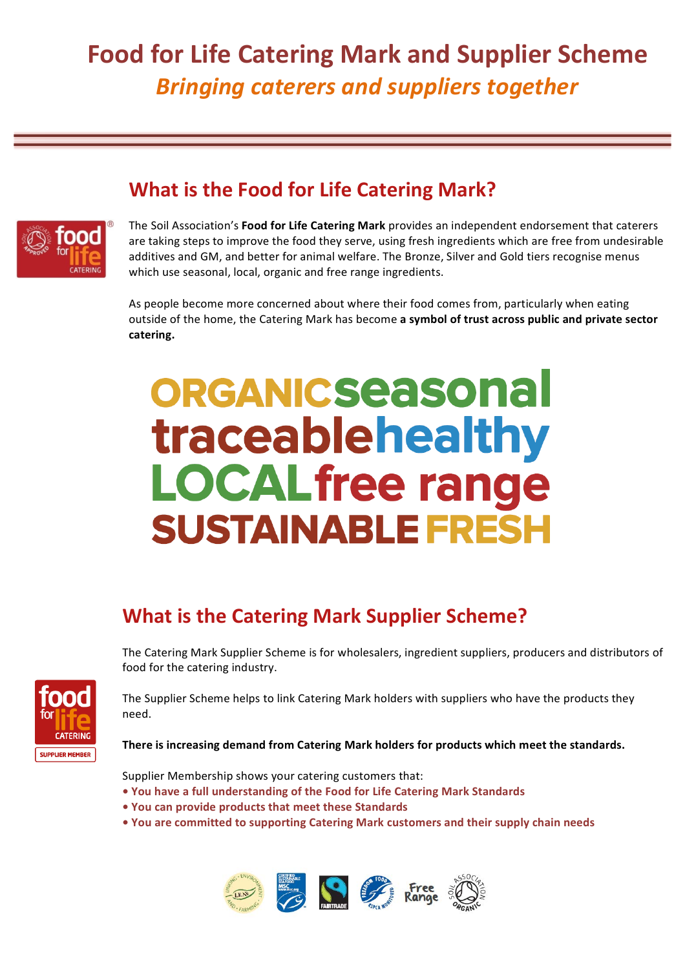## **Food for Life Catering Mark and Supplier Scheme Bringing caterers and suppliers together**

#### **What is the Food for Life Catering Mark?**



The Soil Association's **Food for Life Catering Mark** provides an independent endorsement that caterers are taking steps to improve the food they serve, using fresh ingredients which are free from undesirable additives and GM, and better for animal welfare. The Bronze, Silver and Gold tiers recognise menus which use seasonal, local, organic and free range ingredients.

As people become more concerned about where their food comes from, particularly when eating outside of the home, the Catering Mark has become a symbol of trust across public and private sector **catering.**

# **ORGANICSeasonal** traceablehealthy **LOCAL free range SUSTAINABLE FRESH**

### **What is the Catering Mark Supplier Scheme?**

The Catering Mark Supplier Scheme is for wholesalers, ingredient suppliers, producers and distributors of food for the catering industry.



The Supplier Scheme helps to link Catering Mark holders with suppliers who have the products they need. 

There is increasing demand from Catering Mark holders for products which meet the standards.

Supplier Membership shows your catering customers that:

- You have a full understanding of the Food for Life Catering Mark Standards
- You can provide products that meet these Standards
- You are committed to supporting Catering Mark customers and their supply chain needs